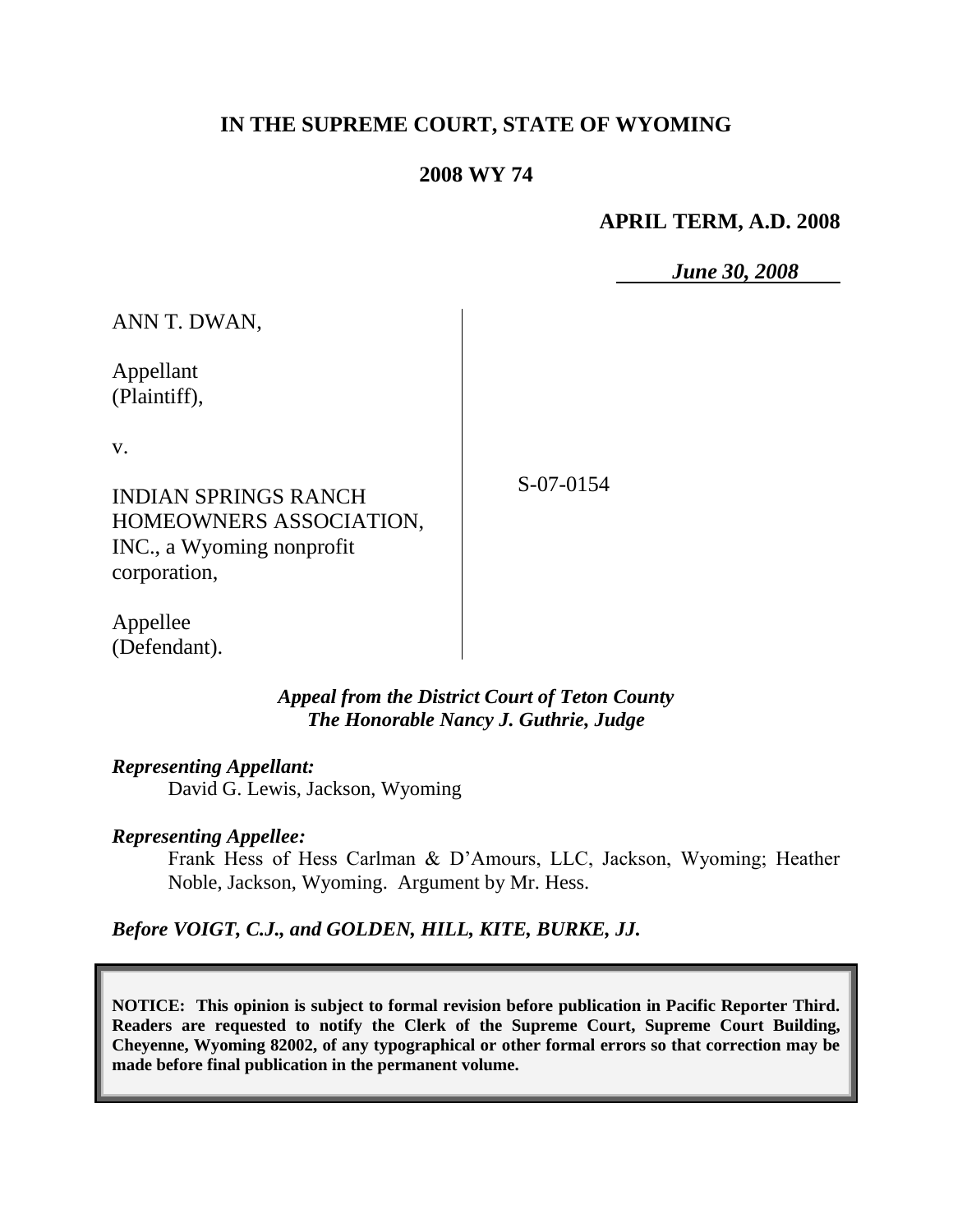# **IN THE SUPREME COURT, STATE OF WYOMING**

### **2008 WY 74**

### **APRIL TERM, A.D. 2008**

*June 30, 2008*

ANN T. DWAN,

Appellant (Plaintiff),

v.

S-07-0154

INDIAN SPRINGS RANCH HOMEOWNERS ASSOCIATION, INC., a Wyoming nonprofit corporation,

Appellee (Defendant).

> *Appeal from the District Court of Teton County The Honorable Nancy J. Guthrie, Judge*

*Representing Appellant:*

David G. Lewis, Jackson, Wyoming

#### *Representing Appellee:*

Frank Hess of Hess Carlman & D'Amours, LLC, Jackson, Wyoming; Heather Noble, Jackson, Wyoming. Argument by Mr. Hess.

*Before VOIGT, C.J., and GOLDEN, HILL, KITE, BURKE, JJ.*

**NOTICE: This opinion is subject to formal revision before publication in Pacific Reporter Third. Readers are requested to notify the Clerk of the Supreme Court, Supreme Court Building, Cheyenne, Wyoming 82002, of any typographical or other formal errors so that correction may be made before final publication in the permanent volume.**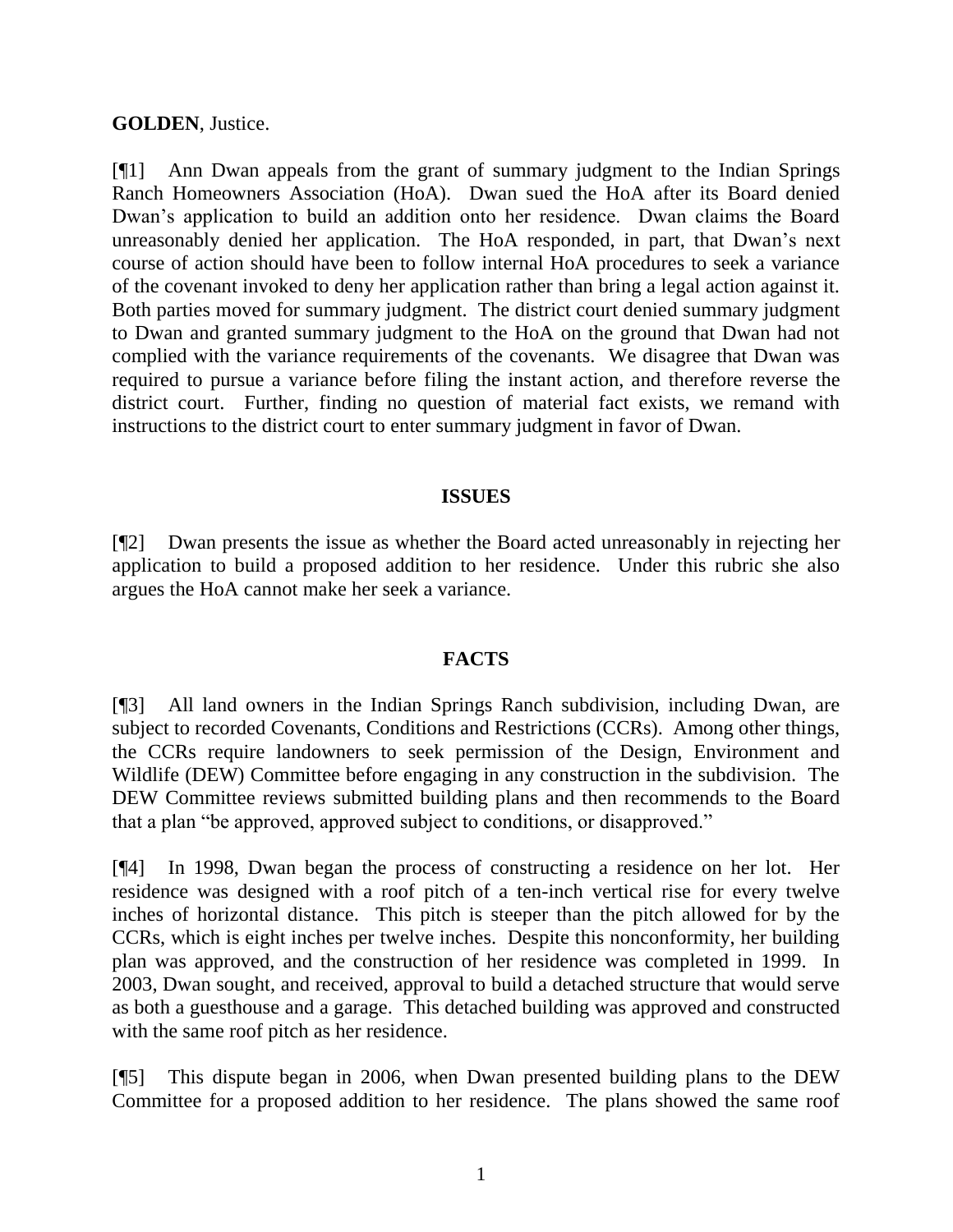### **GOLDEN**, Justice.

[¶1] Ann Dwan appeals from the grant of summary judgment to the Indian Springs Ranch Homeowners Association (HoA). Dwan sued the HoA after its Board denied Dwan's application to build an addition onto her residence. Dwan claims the Board unreasonably denied her application. The HoA responded, in part, that Dwan's next course of action should have been to follow internal HoA procedures to seek a variance of the covenant invoked to deny her application rather than bring a legal action against it. Both parties moved for summary judgment. The district court denied summary judgment to Dwan and granted summary judgment to the HoA on the ground that Dwan had not complied with the variance requirements of the covenants. We disagree that Dwan was required to pursue a variance before filing the instant action, and therefore reverse the district court. Further, finding no question of material fact exists, we remand with instructions to the district court to enter summary judgment in favor of Dwan.

#### **ISSUES**

[¶2] Dwan presents the issue as whether the Board acted unreasonably in rejecting her application to build a proposed addition to her residence. Under this rubric she also argues the HoA cannot make her seek a variance.

#### **FACTS**

[¶3] All land owners in the Indian Springs Ranch subdivision, including Dwan, are subject to recorded Covenants, Conditions and Restrictions (CCRs). Among other things, the CCRs require landowners to seek permission of the Design, Environment and Wildlife (DEW) Committee before engaging in any construction in the subdivision. The DEW Committee reviews submitted building plans and then recommends to the Board that a plan "be approved, approved subject to conditions, or disapproved."

[¶4] In 1998, Dwan began the process of constructing a residence on her lot. Her residence was designed with a roof pitch of a ten-inch vertical rise for every twelve inches of horizontal distance. This pitch is steeper than the pitch allowed for by the CCRs, which is eight inches per twelve inches. Despite this nonconformity, her building plan was approved, and the construction of her residence was completed in 1999. In 2003, Dwan sought, and received, approval to build a detached structure that would serve as both a guesthouse and a garage. This detached building was approved and constructed with the same roof pitch as her residence.

[¶5] This dispute began in 2006, when Dwan presented building plans to the DEW Committee for a proposed addition to her residence. The plans showed the same roof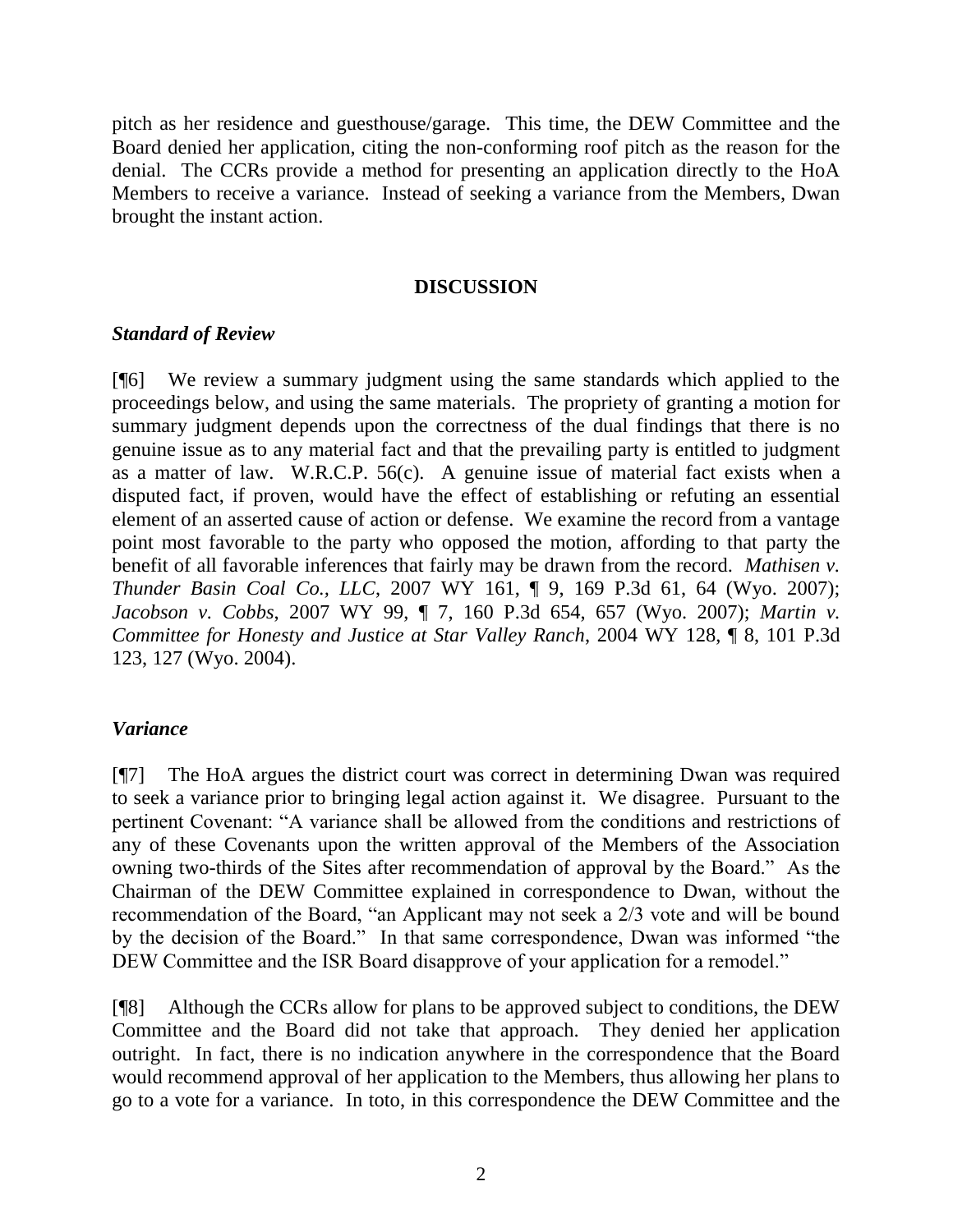pitch as her residence and guesthouse/garage. This time, the DEW Committee and the Board denied her application, citing the non-conforming roof pitch as the reason for the denial. The CCRs provide a method for presenting an application directly to the HoA Members to receive a variance. Instead of seeking a variance from the Members, Dwan brought the instant action.

### **DISCUSSION**

## *Standard of Review*

[¶6] We review a summary judgment using the same standards which applied to the proceedings below, and using the same materials. The propriety of granting a motion for summary judgment depends upon the correctness of the dual findings that there is no genuine issue as to any material fact and that the prevailing party is entitled to judgment as a matter of law. W.R.C.P. 56(c). A genuine issue of material fact exists when a disputed fact, if proven, would have the effect of establishing or refuting an essential element of an asserted cause of action or defense. We examine the record from a vantage point most favorable to the party who opposed the motion, affording to that party the benefit of all favorable inferences that fairly may be drawn from the record. *Mathisen v. Thunder Basin Coal Co., LLC*, 2007 WY 161, ¶ 9, 169 P.3d 61, 64 (Wyo. 2007); *Jacobson v. Cobbs*, 2007 WY 99, ¶ 7, 160 P.3d 654, 657 (Wyo. 2007); *Martin v. Committee for Honesty and Justice at Star Valley Ranch*, 2004 WY 128, ¶ 8, 101 P.3d 123, 127 (Wyo. 2004).

## *Variance*

[¶7] The HoA argues the district court was correct in determining Dwan was required to seek a variance prior to bringing legal action against it. We disagree. Pursuant to the pertinent Covenant: "A variance shall be allowed from the conditions and restrictions of any of these Covenants upon the written approval of the Members of the Association owning two-thirds of the Sites after recommendation of approval by the Board." As the Chairman of the DEW Committee explained in correspondence to Dwan, without the recommendation of the Board, "an Applicant may not seek a 2/3 vote and will be bound by the decision of the Board." In that same correspondence, Dwan was informed "the DEW Committee and the ISR Board disapprove of your application for a remodel."

[¶8] Although the CCRs allow for plans to be approved subject to conditions, the DEW Committee and the Board did not take that approach. They denied her application outright. In fact, there is no indication anywhere in the correspondence that the Board would recommend approval of her application to the Members, thus allowing her plans to go to a vote for a variance. In toto, in this correspondence the DEW Committee and the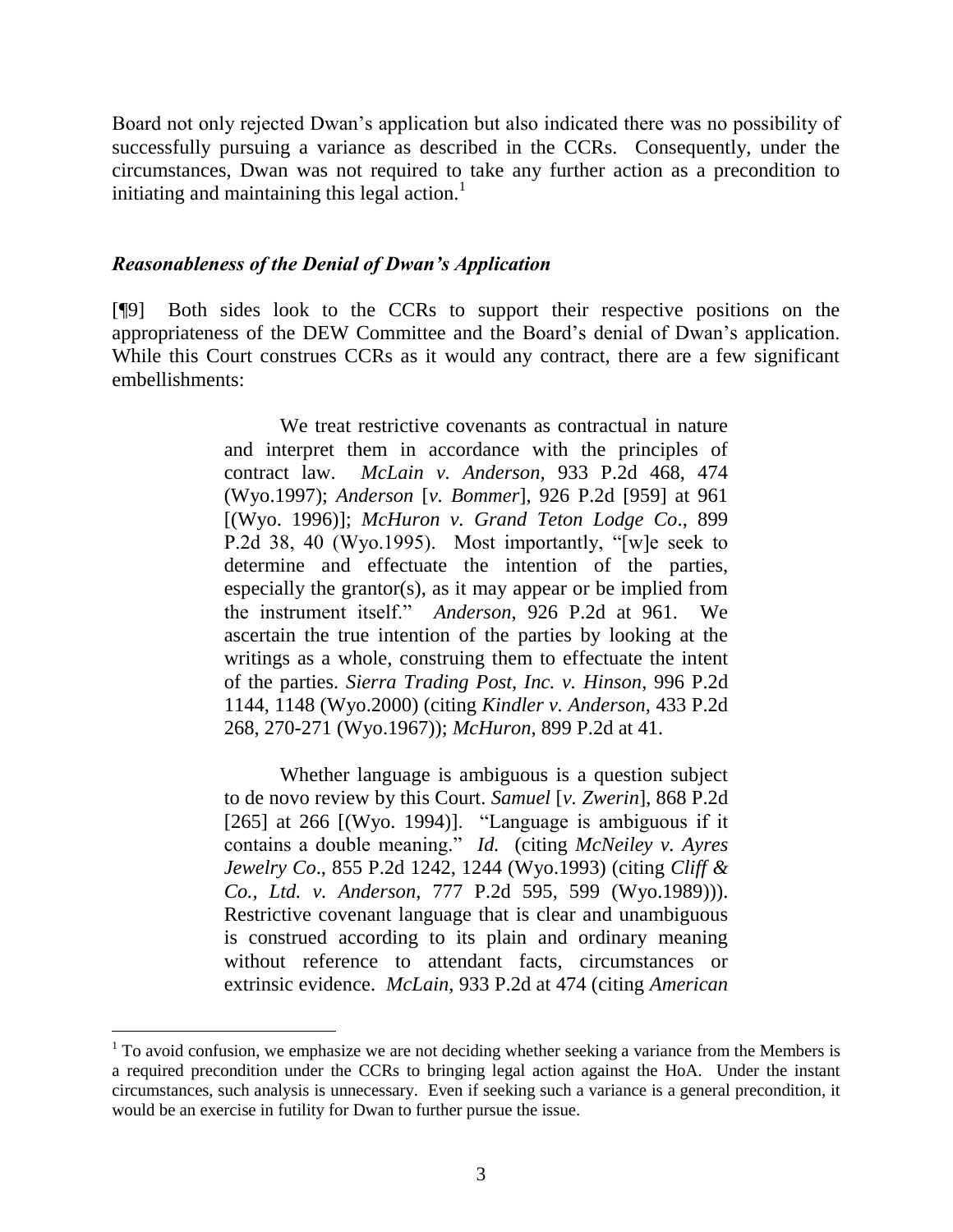Board not only rejected Dwan's application but also indicated there was no possibility of successfully pursuing a variance as described in the CCRs. Consequently, under the circumstances, Dwan was not required to take any further action as a precondition to initiating and maintaining this legal action. $\frac{1}{1}$ 

#### *Reasonableness of the Denial of Dwan's Application*

 $\overline{a}$ 

[¶9] Both sides look to the CCRs to support their respective positions on the appropriateness of the DEW Committee and the Board's denial of Dwan's application. While this Court construes CCRs as it would any contract, there are a few significant embellishments:

> We treat restrictive covenants as contractual in nature and interpret them in accordance with the principles of contract law. *McLain v. Anderson,* 933 P.2d 468, 474 (Wyo.1997); *Anderson* [*v. Bommer*], 926 P.2d [959] at 961 [(Wyo. 1996)]; *McHuron v. Grand Teton Lodge Co*., 899 P.2d 38, 40 (Wyo.1995). Most importantly, "[w]e seek to determine and effectuate the intention of the parties, especially the grantor(s), as it may appear or be implied from the instrument itself." *Anderson*, 926 P.2d at 961. We ascertain the true intention of the parties by looking at the writings as a whole, construing them to effectuate the intent of the parties. *Sierra Trading Post, Inc. v. Hinson*, 996 P.2d 1144, 1148 (Wyo.2000) (citing *Kindler v. Anderson,* 433 P.2d 268, 270-271 (Wyo.1967)); *McHuron*, 899 P.2d at 41.

> Whether language is ambiguous is a question subject to de novo review by this Court. *Samuel* [*v. Zwerin*], 868 P.2d [265] at 266  $[(Wyo. 1994)]$ . "Language is ambiguous if it contains a double meaning." *Id.* (citing *McNeiley v. Ayres Jewelry Co*., 855 P.2d 1242, 1244 (Wyo.1993) (citing *Cliff & Co., Ltd. v. Anderson*, 777 P.2d 595, 599 (Wyo.1989))). Restrictive covenant language that is clear and unambiguous is construed according to its plain and ordinary meaning without reference to attendant facts, circumstances or extrinsic evidence. *McLain*, 933 P.2d at 474 (citing *American*

 $1$  To avoid confusion, we emphasize we are not deciding whether seeking a variance from the Members is a required precondition under the CCRs to bringing legal action against the HoA. Under the instant circumstances, such analysis is unnecessary. Even if seeking such a variance is a general precondition, it would be an exercise in futility for Dwan to further pursue the issue.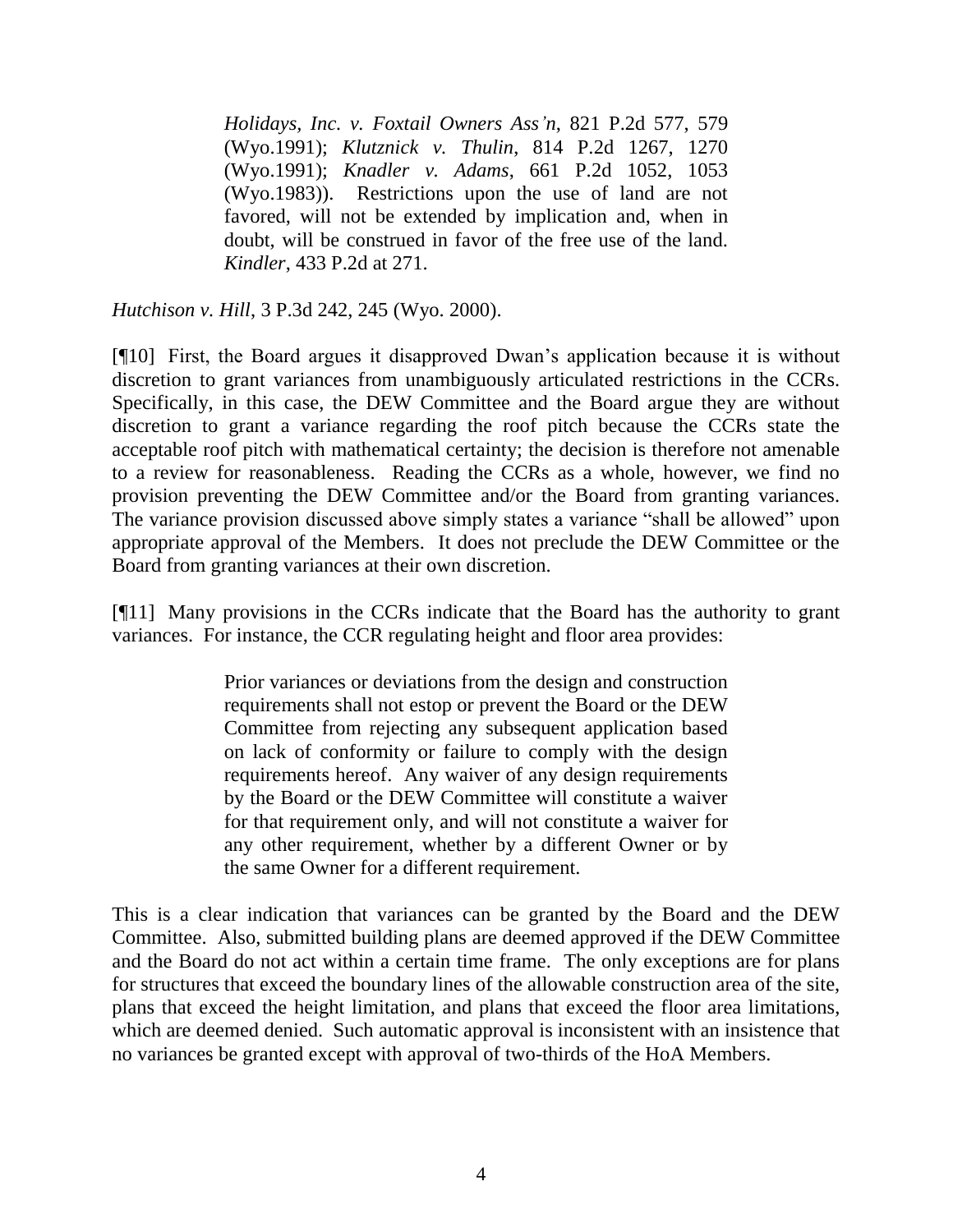*Holidays, Inc. v. Foxtail Owners Ass'n*, 821 P.2d 577, 579 (Wyo.1991); *Klutznick v. Thulin*, 814 P.2d 1267, 1270 (Wyo.1991); *Knadler v. Adams*, 661 P.2d 1052, 1053 (Wyo.1983)). Restrictions upon the use of land are not favored, will not be extended by implication and, when in doubt, will be construed in favor of the free use of the land. *Kindler*, 433 P.2d at 271.

*Hutchison v. Hill*, 3 P.3d 242, 245 (Wyo. 2000).

[¶10] First, the Board argues it disapproved Dwan's application because it is without discretion to grant variances from unambiguously articulated restrictions in the CCRs. Specifically, in this case, the DEW Committee and the Board argue they are without discretion to grant a variance regarding the roof pitch because the CCRs state the acceptable roof pitch with mathematical certainty; the decision is therefore not amenable to a review for reasonableness. Reading the CCRs as a whole, however, we find no provision preventing the DEW Committee and/or the Board from granting variances. The variance provision discussed above simply states a variance "shall be allowed" upon appropriate approval of the Members. It does not preclude the DEW Committee or the Board from granting variances at their own discretion.

[¶11] Many provisions in the CCRs indicate that the Board has the authority to grant variances. For instance, the CCR regulating height and floor area provides:

> Prior variances or deviations from the design and construction requirements shall not estop or prevent the Board or the DEW Committee from rejecting any subsequent application based on lack of conformity or failure to comply with the design requirements hereof. Any waiver of any design requirements by the Board or the DEW Committee will constitute a waiver for that requirement only, and will not constitute a waiver for any other requirement, whether by a different Owner or by the same Owner for a different requirement.

This is a clear indication that variances can be granted by the Board and the DEW Committee. Also, submitted building plans are deemed approved if the DEW Committee and the Board do not act within a certain time frame. The only exceptions are for plans for structures that exceed the boundary lines of the allowable construction area of the site, plans that exceed the height limitation, and plans that exceed the floor area limitations, which are deemed denied. Such automatic approval is inconsistent with an insistence that no variances be granted except with approval of two-thirds of the HoA Members.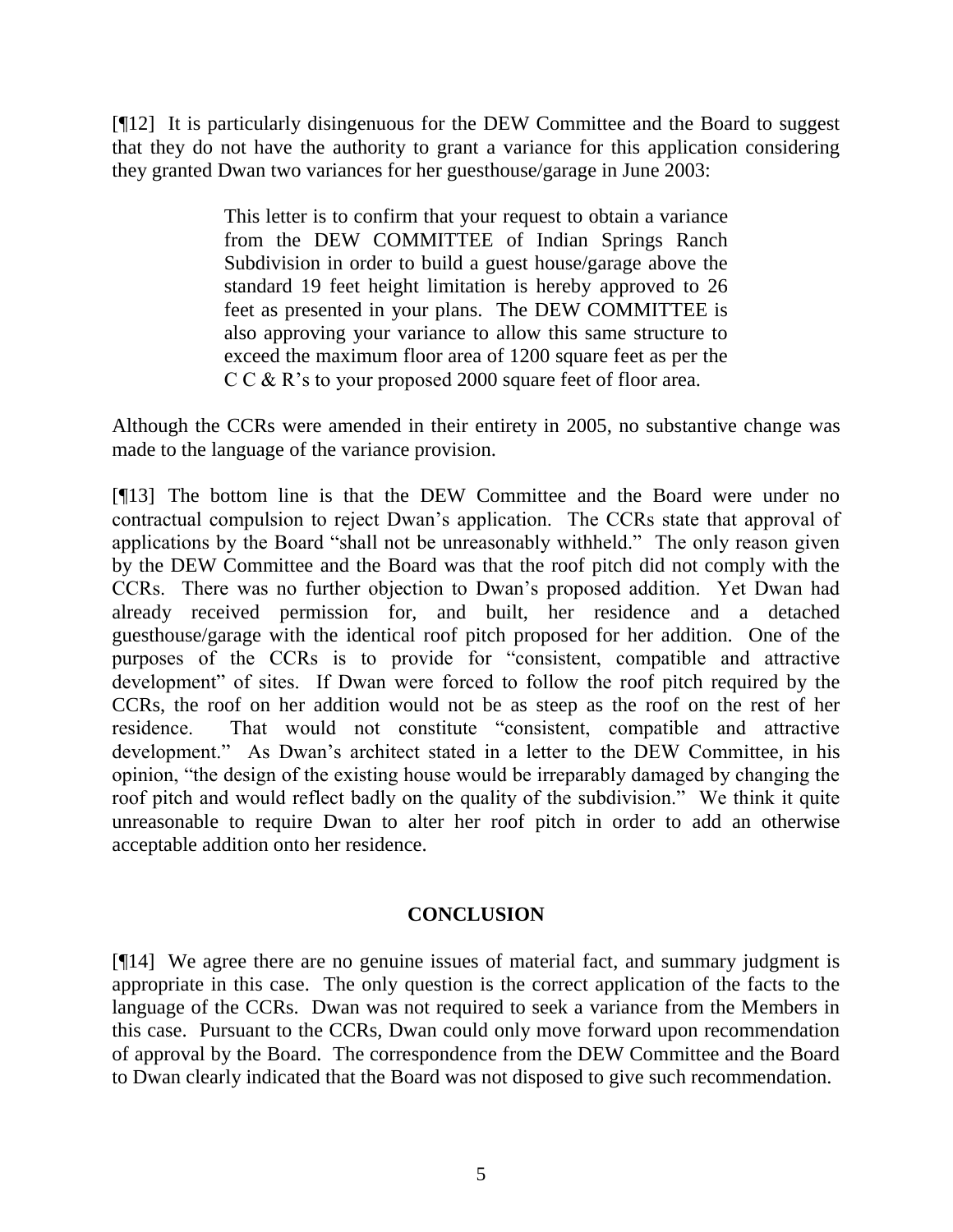[¶12] It is particularly disingenuous for the DEW Committee and the Board to suggest that they do not have the authority to grant a variance for this application considering they granted Dwan two variances for her guesthouse/garage in June 2003:

> This letter is to confirm that your request to obtain a variance from the DEW COMMITTEE of Indian Springs Ranch Subdivision in order to build a guest house/garage above the standard 19 feet height limitation is hereby approved to 26 feet as presented in your plans. The DEW COMMITTEE is also approving your variance to allow this same structure to exceed the maximum floor area of 1200 square feet as per the C C & R's to your proposed 2000 square feet of floor area.

Although the CCRs were amended in their entirety in 2005, no substantive change was made to the language of the variance provision.

[¶13] The bottom line is that the DEW Committee and the Board were under no contractual compulsion to reject Dwan's application. The CCRs state that approval of applications by the Board "shall not be unreasonably withheld." The only reason given by the DEW Committee and the Board was that the roof pitch did not comply with the CCRs. There was no further objection to Dwan's proposed addition. Yet Dwan had already received permission for, and built, her residence and a detached guesthouse/garage with the identical roof pitch proposed for her addition. One of the purposes of the CCRs is to provide for "consistent, compatible and attractive development" of sites. If Dwan were forced to follow the roof pitch required by the CCRs, the roof on her addition would not be as steep as the roof on the rest of her residence. That would not constitute "consistent, compatible and attractive development." As Dwan's architect stated in a letter to the DEW Committee, in his opinion, "the design of the existing house would be irreparably damaged by changing the roof pitch and would reflect badly on the quality of the subdivision." We think it quite unreasonable to require Dwan to alter her roof pitch in order to add an otherwise acceptable addition onto her residence.

#### **CONCLUSION**

[¶14] We agree there are no genuine issues of material fact, and summary judgment is appropriate in this case. The only question is the correct application of the facts to the language of the CCRs. Dwan was not required to seek a variance from the Members in this case. Pursuant to the CCRs, Dwan could only move forward upon recommendation of approval by the Board. The correspondence from the DEW Committee and the Board to Dwan clearly indicated that the Board was not disposed to give such recommendation.